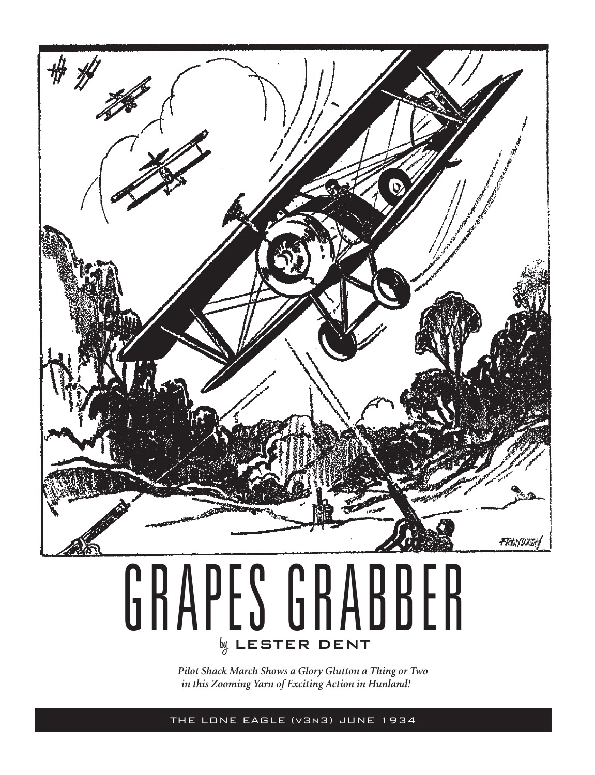

## **by** LESTER DENT GRAPES GRABBER

*Pilot Shack March Shows a Glory Glutton a Thing or Two in this Zooming Yarn of Exciting Action in Hunland!*

THE LONE EAGLE (v3n3) JUNE 1934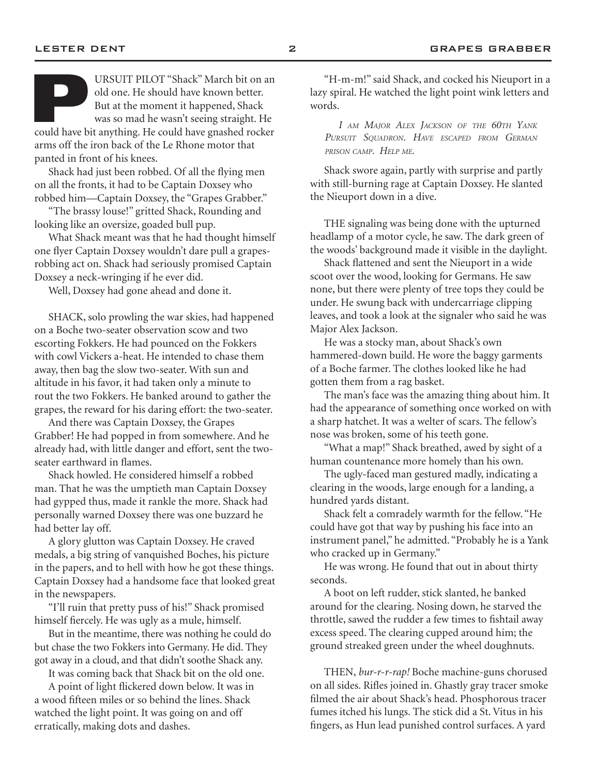arms off the iron back of the Le Rhone motor that panted in front of his knees.

Shack had just been robbed. Of all the flying men on all the fronts, it had to be Captain Doxsey who robbed him—Captain Doxsey, the "Grapes Grabber."

"The brassy louse!" gritted Shack, Rounding and looking like an oversize, goaded bull pup.

What Shack meant was that he had thought himself one flyer Captain Doxsey wouldn't dare pull a grapesrobbing act on. Shack had seriously promised Captain Doxsey a neck-wringing if he ever did.

Well, Doxsey had gone ahead and done it.

SHACK, solo prowling the war skies, had happened on a Boche two-seater observation scow and two escorting Fokkers. He had pounced on the Fokkers with cowl Vickers a-heat. He intended to chase them away, then bag the slow two-seater. With sun and altitude in his favor, it had taken only a minute to rout the two Fokkers. He banked around to gather the grapes, the reward for his daring effort: the two-seater.

And there was Captain Doxsey, the Grapes Grabber! He had popped in from somewhere. And he already had, with little danger and effort, sent the twoseater earthward in flames.

Shack howled. He considered himself a robbed man. That he was the umptieth man Captain Doxsey had gypped thus, made it rankle the more. Shack had personally warned Doxsey there was one buzzard he had better lay off.

A glory glutton was Captain Doxsey. He craved medals, a big string of vanquished Boches, his picture in the papers, and to hell with how he got these things. Captain Doxsey had a handsome face that looked great in the newspapers.

"I'll ruin that pretty puss of his!" Shack promised himself fiercely. He was ugly as a mule, himself.

But in the meantime, there was nothing he could do but chase the two Fokkers into Germany. He did. They got away in a cloud, and that didn't soothe Shack any.

It was coming back that Shack bit on the old one. A point of light flickered down below. It was in a wood fifteen miles or so behind the lines. Shack watched the light point. It was going on and off erratically, making dots and dashes.

"H-m-m!" said Shack, and cocked his Nieuport in a lazy spiral. He watched the light point wink letters and words.

*I am Major Alex Jackson of the 60th Yank Pursuit Squadron. Have escaped from German prison camp. Help me.*

Shack swore again, partly with surprise and partly with still-burning rage at Captain Doxsey. He slanted the Nieuport down in a dive.

THE signaling was being done with the upturned headlamp of a motor cycle, he saw. The dark green of the woods' background made it visible in the daylight.

Shack flattened and sent the Nieuport in a wide scoot over the wood, looking for Germans. He saw none, but there were plenty of tree tops they could be under. He swung back with undercarriage clipping leaves, and took a look at the signaler who said he was Major Alex Jackson.

He was a stocky man, about Shack's own hammered-down build. He wore the baggy garments of a Boche farmer. The clothes looked like he had gotten them from a rag basket.

The man's face was the amazing thing about him. It had the appearance of something once worked on with a sharp hatchet. It was a welter of scars. The fellow's nose was broken, some of his teeth gone.

"What a map!" Shack breathed, awed by sight of a human countenance more homely than his own.

The ugly-faced man gestured madly, indicating a clearing in the woods, large enough for a landing, a hundred yards distant.

Shack felt a comradely warmth for the fellow. "He could have got that way by pushing his face into an instrument panel," he admitted. "Probably he is a Yank who cracked up in Germany."

He was wrong. He found that out in about thirty seconds.

A boot on left rudder, stick slanted, he banked around for the clearing. Nosing down, he starved the throttle, sawed the rudder a few times to fishtail away excess speed. The clearing cupped around him; the ground streaked green under the wheel doughnuts.

THEN, *bur-r-r-rap!* Boche machine-guns chorused on all sides. Rifles joined in. Ghastly gray tracer smoke filmed the air about Shack's head. Phosphorous tracer fumes itched his lungs. The stick did a St. Vitus in his fingers, as Hun lead punished control surfaces. A yard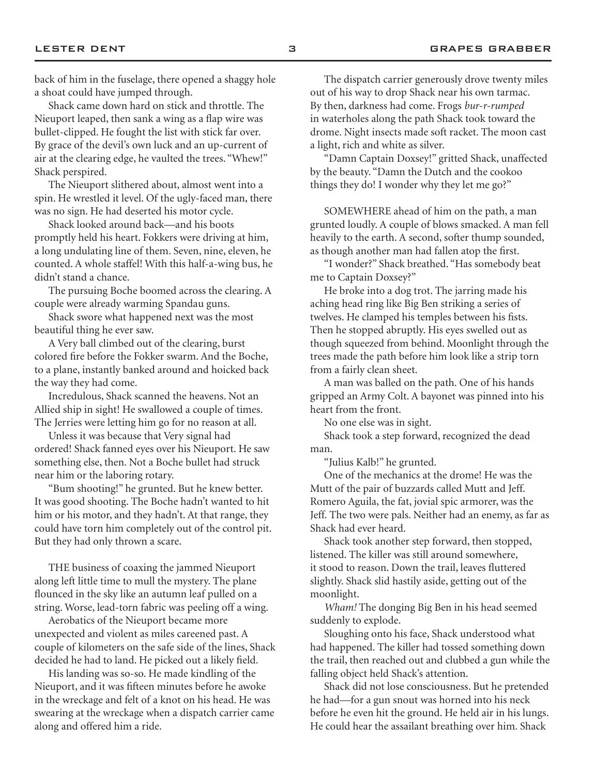back of him in the fuselage, there opened a shaggy hole a shoat could have jumped through.

Shack came down hard on stick and throttle. The Nieuport leaped, then sank a wing as a flap wire was bullet-clipped. He fought the list with stick far over. By grace of the devil's own luck and an up-current of air at the clearing edge, he vaulted the trees. "Whew!" Shack perspired.

The Nieuport slithered about, almost went into a spin. He wrestled it level. Of the ugly-faced man, there was no sign. He had deserted his motor cycle.

Shack looked around back—and his boots promptly held his heart. Fokkers were driving at him, a long undulating line of them. Seven, nine, eleven, he counted. A whole staffel! With this half-a-wing bus, he didn't stand a chance.

The pursuing Boche boomed across the clearing. A couple were already warming Spandau guns.

Shack swore what happened next was the most beautiful thing he ever saw.

A Very ball climbed out of the clearing, burst colored fire before the Fokker swarm. And the Boche, to a plane, instantly banked around and hoicked back the way they had come.

Incredulous, Shack scanned the heavens. Not an Allied ship in sight! He swallowed a couple of times. The Jerries were letting him go for no reason at all.

Unless it was because that Very signal had ordered! Shack fanned eyes over his Nieuport. He saw something else, then. Not a Boche bullet had struck near him or the laboring rotary.

"Bum shooting!" he grunted. But he knew better. It was good shooting. The Boche hadn't wanted to hit him or his motor, and they hadn't. At that range, they could have torn him completely out of the control pit. But they had only thrown a scare.

THE business of coaxing the jammed Nieuport along left little time to mull the mystery. The plane flounced in the sky like an autumn leaf pulled on a string. Worse, lead-torn fabric was peeling off a wing.

Aerobatics of the Nieuport became more unexpected and violent as miles careened past. A couple of kilometers on the safe side of the lines, Shack decided he had to land. He picked out a likely field.

His landing was so-so. He made kindling of the Nieuport, and it was fifteen minutes before he awoke in the wreckage and felt of a knot on his head. He was swearing at the wreckage when a dispatch carrier came along and offered him a ride.

The dispatch carrier generously drove twenty miles out of his way to drop Shack near his own tarmac. By then, darkness had come. Frogs *bur-r-rumped* in waterholes along the path Shack took toward the drome. Night insects made soft racket. The moon cast a light, rich and white as silver.

"Damn Captain Doxsey!" gritted Shack, unaffected by the beauty. "Damn the Dutch and the cookoo things they do! I wonder why they let me go?"

SOMEWHERE ahead of him on the path, a man grunted loudly. A couple of blows smacked. A man fell heavily to the earth. A second, softer thump sounded, as though another man had fallen atop the first.

"I wonder?" Shack breathed. "Has somebody beat me to Captain Doxsey?"

He broke into a dog trot. The jarring made his aching head ring like Big Ben striking a series of twelves. He clamped his temples between his fists. Then he stopped abruptly. His eyes swelled out as though squeezed from behind. Moonlight through the trees made the path before him look like a strip torn from a fairly clean sheet.

A man was balled on the path. One of his hands gripped an Army Colt. A bayonet was pinned into his heart from the front.

No one else was in sight.

Shack took a step forward, recognized the dead man.

"Julius Kalb!" he grunted.

One of the mechanics at the drome! He was the Mutt of the pair of buzzards called Mutt and Jeff. Romero Aguila, the fat, jovial spic armorer, was the Jeff. The two were pals. Neither had an enemy, as far as Shack had ever heard.

Shack took another step forward, then stopped, listened. The killer was still around somewhere, it stood to reason. Down the trail, leaves fluttered slightly. Shack slid hastily aside, getting out of the moonlight.

*Wham!* The donging Big Ben in his head seemed suddenly to explode.

Sloughing onto his face, Shack understood what had happened. The killer had tossed something down the trail, then reached out and clubbed a gun while the falling object held Shack's attention.

Shack did not lose consciousness. But he pretended he had—for a gun snout was horned into his neck before he even hit the ground. He held air in his lungs. He could hear the assailant breathing over him. Shack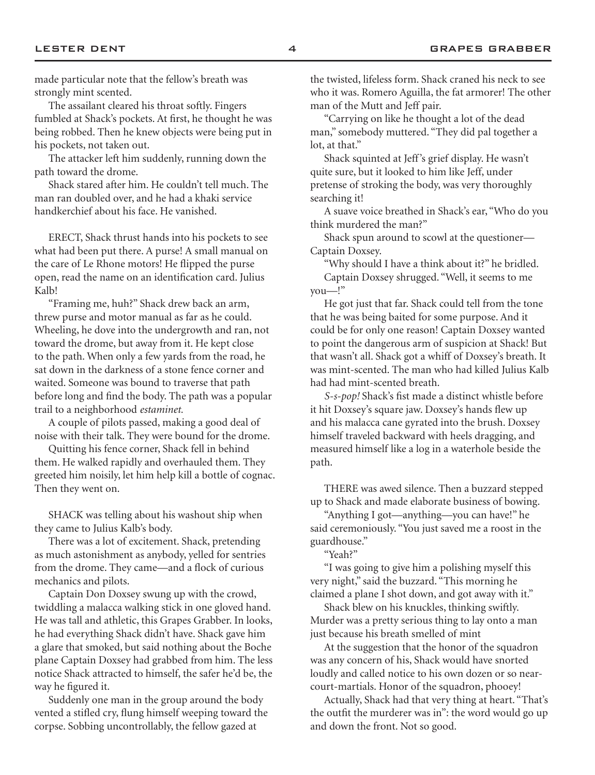made particular note that the fellow's breath was strongly mint scented.

The assailant cleared his throat softly. Fingers fumbled at Shack's pockets. At first, he thought he was being robbed. Then he knew objects were being put in his pockets, not taken out.

The attacker left him suddenly, running down the path toward the drome.

Shack stared after him. He couldn't tell much. The man ran doubled over, and he had a khaki service handkerchief about his face. He vanished.

ERECT, Shack thrust hands into his pockets to see what had been put there. A purse! A small manual on the care of Le Rhone motors! He flipped the purse open, read the name on an identification card. Julius Kalb!

"Framing me, huh?" Shack drew back an arm, threw purse and motor manual as far as he could. Wheeling, he dove into the undergrowth and ran, not toward the drome, but away from it. He kept close to the path. When only a few yards from the road, he sat down in the darkness of a stone fence corner and waited. Someone was bound to traverse that path before long and find the body. The path was a popular trail to a neighborhood *estaminet.*

A couple of pilots passed, making a good deal of noise with their talk. They were bound for the drome.

Quitting his fence corner, Shack fell in behind them. He walked rapidly and overhauled them. They greeted him noisily, let him help kill a bottle of cognac. Then they went on.

SHACK was telling about his washout ship when they came to Julius Kalb's body.

There was a lot of excitement. Shack, pretending as much astonishment as anybody, yelled for sentries from the drome. They came—and a flock of curious mechanics and pilots.

Captain Don Doxsey swung up with the crowd, twiddling a malacca walking stick in one gloved hand. He was tall and athletic, this Grapes Grabber. In looks, he had everything Shack didn't have. Shack gave him a glare that smoked, but said nothing about the Boche plane Captain Doxsey had grabbed from him. The less notice Shack attracted to himself, the safer he'd be, the way he figured it.

Suddenly one man in the group around the body vented a stifled cry, flung himself weeping toward the corpse. Sobbing uncontrollably, the fellow gazed at

the twisted, lifeless form. Shack craned his neck to see who it was. Romero Aguilla, the fat armorer! The other man of the Mutt and Jeff pair.

"Carrying on like he thought a lot of the dead man," somebody muttered. "They did pal together a lot, at that."

Shack squinted at Jeff's grief display. He wasn't quite sure, but it looked to him like Jeff, under pretense of stroking the body, was very thoroughly searching it!

A suave voice breathed in Shack's ear, "Who do you think murdered the man?"

Shack spun around to scowl at the questioner— Captain Doxsey.

"Why should I have a think about it?" he bridled.

Captain Doxsey shrugged. "Well, it seems to me you—!"

He got just that far. Shack could tell from the tone that he was being baited for some purpose. And it could be for only one reason! Captain Doxsey wanted to point the dangerous arm of suspicion at Shack! But that wasn't all. Shack got a whiff of Doxsey's breath. It was mint-scented. The man who had killed Julius Kalb had had mint-scented breath.

*S-s-pop!* Shack's fist made a distinct whistle before it hit Doxsey's square jaw. Doxsey's hands flew up and his malacca cane gyrated into the brush. Doxsey himself traveled backward with heels dragging, and measured himself like a log in a waterhole beside the path.

THERE was awed silence. Then a buzzard stepped up to Shack and made elaborate business of bowing.

"Anything I got—anything—you can have!" he said ceremoniously. "You just saved me a roost in the guardhouse."

"Yeah?"

"I was going to give him a polishing myself this very night," said the buzzard. "This morning he claimed a plane I shot down, and got away with it."

Shack blew on his knuckles, thinking swiftly. Murder was a pretty serious thing to lay onto a man just because his breath smelled of mint

At the suggestion that the honor of the squadron was any concern of his, Shack would have snorted loudly and called notice to his own dozen or so nearcourt-martials. Honor of the squadron, phooey!

Actually, Shack had that very thing at heart. "That's the outfit the murderer was in": the word would go up and down the front. Not so good.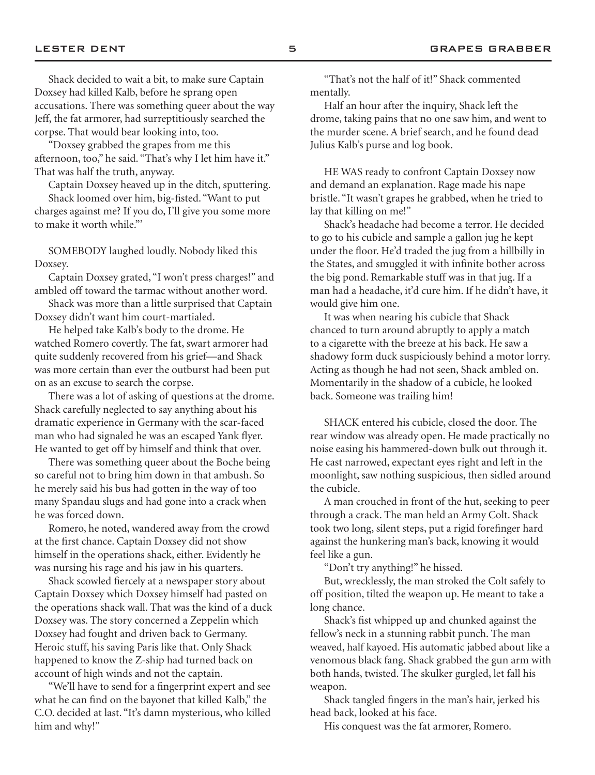Shack decided to wait a bit, to make sure Captain Doxsey had killed Kalb, before he sprang open accusations. There was something queer about the way Jeff, the fat armorer, had surreptitiously searched the corpse. That would bear looking into, too.

"Doxsey grabbed the grapes from me this afternoon, too," he said. "That's why I let him have it." That was half the truth, anyway.

Captain Doxsey heaved up in the ditch, sputtering. Shack loomed over him, big-fisted. "Want to put charges against me? If you do, I'll give you some more

to make it worth while."'

SOMEBODY laughed loudly. Nobody liked this Doxsey.

Captain Doxsey grated, "I won't press charges!" and ambled off toward the tarmac without another word.

Shack was more than a little surprised that Captain Doxsey didn't want him court-martialed.

He helped take Kalb's body to the drome. He watched Romero covertly. The fat, swart armorer had quite suddenly recovered from his grief—and Shack was more certain than ever the outburst had been put on as an excuse to search the corpse.

There was a lot of asking of questions at the drome. Shack carefully neglected to say anything about his dramatic experience in Germany with the scar-faced man who had signaled he was an escaped Yank flyer. He wanted to get off by himself and think that over.

There was something queer about the Boche being so careful not to bring him down in that ambush. So he merely said his bus had gotten in the way of too many Spandau slugs and had gone into a crack when he was forced down.

Romero, he noted, wandered away from the crowd at the first chance. Captain Doxsey did not show himself in the operations shack, either. Evidently he was nursing his rage and his jaw in his quarters.

Shack scowled fiercely at a newspaper story about Captain Doxsey which Doxsey himself had pasted on the operations shack wall. That was the kind of a duck Doxsey was. The story concerned a Zeppelin which Doxsey had fought and driven back to Germany. Heroic stuff, his saving Paris like that. Only Shack happened to know the Z-ship had turned back on account of high winds and not the captain.

"We'll have to send for a fingerprint expert and see what he can find on the bayonet that killed Kalb," the C.O. decided at last. "It's damn mysterious, who killed him and why!"

"That's not the half of it!" Shack commented mentally.

Half an hour after the inquiry, Shack left the drome, taking pains that no one saw him, and went to the murder scene. A brief search, and he found dead Julius Kalb's purse and log book.

HE WAS ready to confront Captain Doxsey now and demand an explanation. Rage made his nape bristle. "It wasn't grapes he grabbed, when he tried to lay that killing on me!"

Shack's headache had become a terror. He decided to go to his cubicle and sample a gallon jug he kept under the floor. He'd traded the jug from a hillbilly in the States, and smuggled it with infinite bother across the big pond. Remarkable stuff was in that jug. If a man had a headache, it'd cure him. If he didn't have, it would give him one.

It was when nearing his cubicle that Shack chanced to turn around abruptly to apply a match to a cigarette with the breeze at his back. He saw a shadowy form duck suspiciously behind a motor lorry. Acting as though he had not seen, Shack ambled on. Momentarily in the shadow of a cubicle, he looked back. Someone was trailing him!

SHACK entered his cubicle, closed the door. The rear window was already open. He made practically no noise easing his hammered-down bulk out through it. He cast narrowed, expectant eyes right and left in the moonlight, saw nothing suspicious, then sidled around the cubicle.

A man crouched in front of the hut, seeking to peer through a crack. The man held an Army Colt. Shack took two long, silent steps, put a rigid forefinger hard against the hunkering man's back, knowing it would feel like a gun.

"Don't try anything!" he hissed.

But, wrecklessly, the man stroked the Colt safely to off position, tilted the weapon up. He meant to take a long chance.

Shack's fist whipped up and chunked against the fellow's neck in a stunning rabbit punch. The man weaved, half kayoed. His automatic jabbed about like a venomous black fang. Shack grabbed the gun arm with both hands, twisted. The skulker gurgled, let fall his weapon.

Shack tangled fingers in the man's hair, jerked his head back, looked at his face.

His conquest was the fat armorer, Romero.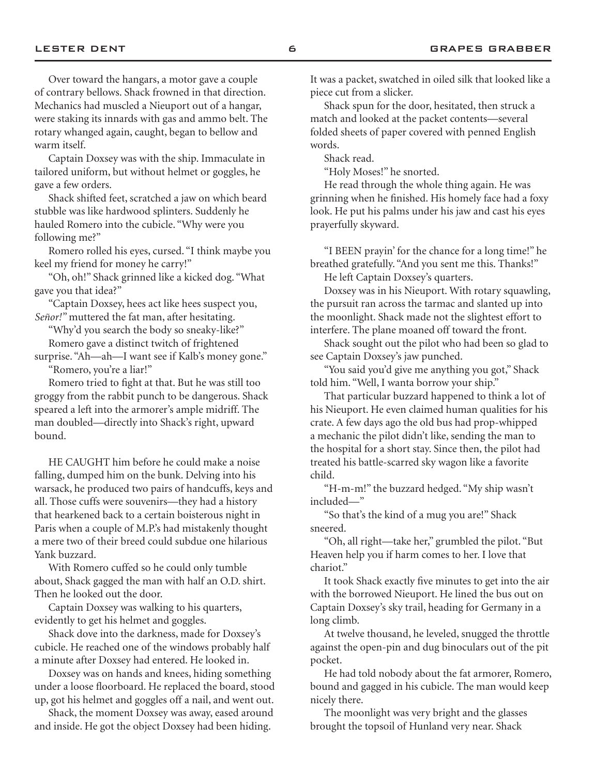Over toward the hangars, a motor gave a couple of contrary bellows. Shack frowned in that direction. Mechanics had muscled a Nieuport out of a hangar, were staking its innards with gas and ammo belt. The rotary whanged again, caught, began to bellow and warm itself.

Captain Doxsey was with the ship. Immaculate in tailored uniform, but without helmet or goggles, he gave a few orders.

Shack shifted feet, scratched a jaw on which beard stubble was like hardwood splinters. Suddenly he hauled Romero into the cubicle. "Why were you following me?"

Romero rolled his eyes, cursed. "I think maybe you keel my friend for money he carry!"

"Oh, oh!" Shack grinned like a kicked dog. "What gave you that idea?"

"Captain Doxsey, hees act like hees suspect you, *Señor!"* muttered the fat man, after hesitating.

"Why'd you search the body so sneaky-like?"

Romero gave a distinct twitch of frightened

surprise. "Ah-ah-I want see if Kalb's money gone." "Romero, you're a liar!"

Romero tried to fight at that. But he was still too groggy from the rabbit punch to be dangerous. Shack speared a left into the armorer's ample midriff. The man doubled—directly into Shack's right, upward bound.

HE CAUGHT him before he could make a noise falling, dumped him on the bunk. Delving into his warsack, he produced two pairs of handcuffs, keys and all. Those cuffs were souvenirs—they had a history that hearkened back to a certain boisterous night in Paris when a couple of M.P.'s had mistakenly thought a mere two of their breed could subdue one hilarious Yank buzzard.

With Romero cuffed so he could only tumble about, Shack gagged the man with half an O.D. shirt. Then he looked out the door.

Captain Doxsey was walking to his quarters, evidently to get his helmet and goggles.

Shack dove into the darkness, made for Doxsey's cubicle. He reached one of the windows probably half a minute after Doxsey had entered. He looked in.

Doxsey was on hands and knees, hiding something under a loose floorboard. He replaced the board, stood up, got his helmet and goggles off a nail, and went out.

Shack, the moment Doxsey was away, eased around and inside. He got the object Doxsey had been hiding.

It was a packet, swatched in oiled silk that looked like a piece cut from a slicker.

Shack spun for the door, hesitated, then struck a match and looked at the packet contents—several folded sheets of paper covered with penned English words.

Shack read.

"Holy Moses!" he snorted.

He read through the whole thing again. He was grinning when he finished. His homely face had a foxy look. He put his palms under his jaw and cast his eyes prayerfully skyward.

"I BEEN prayin' for the chance for a long time!" he breathed gratefully. "And you sent me this. Thanks!"

He left Captain Doxsey's quarters.

Doxsey was in his Nieuport. With rotary squawling, the pursuit ran across the tarmac and slanted up into the moonlight. Shack made not the slightest effort to interfere. The plane moaned off toward the front.

Shack sought out the pilot who had been so glad to see Captain Doxsey's jaw punched.

"You said you'd give me anything you got," Shack told him. "Well, I wanta borrow your ship."

That particular buzzard happened to think a lot of his Nieuport. He even claimed human qualities for his crate. A few days ago the old bus had prop-whipped a mechanic the pilot didn't like, sending the man to the hospital for a short stay. Since then, the pilot had treated his battle-scarred sky wagon like a favorite child.

"H-m-m!" the buzzard hedged. "My ship wasn't included—"

"So that's the kind of a mug you are!" Shack sneered.

"Oh, all right—take her," grumbled the pilot. "But Heaven help you if harm comes to her. I love that chariot."

It took Shack exactly five minutes to get into the air with the borrowed Nieuport. He lined the bus out on Captain Doxsey's sky trail, heading for Germany in a long climb.

At twelve thousand, he leveled, snugged the throttle against the open-pin and dug binoculars out of the pit pocket.

He had told nobody about the fat armorer, Romero, bound and gagged in his cubicle. The man would keep nicely there.

The moonlight was very bright and the glasses brought the topsoil of Hunland very near. Shack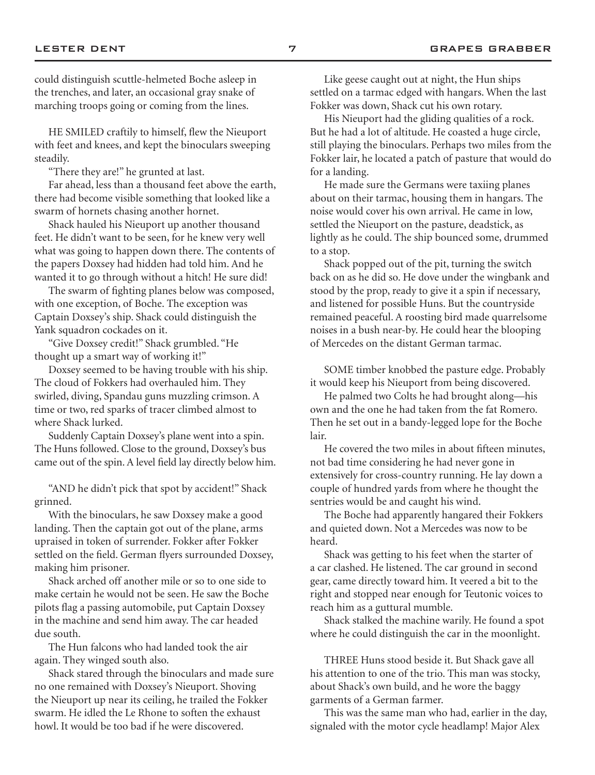could distinguish scuttle-helmeted Boche asleep in the trenches, and later, an occasional gray snake of marching troops going or coming from the lines.

HE SMILED craftily to himself, flew the Nieuport with feet and knees, and kept the binoculars sweeping steadily.

"There they are!" he grunted at last.

Far ahead, less than a thousand feet above the earth, there had become visible something that looked like a swarm of hornets chasing another hornet.

Shack hauled his Nieuport up another thousand feet. He didn't want to be seen, for he knew very well what was going to happen down there. The contents of the papers Doxsey had hidden had told him. And he wanted it to go through without a hitch! He sure did!

The swarm of fighting planes below was composed, with one exception, of Boche. The exception was Captain Doxsey's ship. Shack could distinguish the Yank squadron cockades on it.

"Give Doxsey credit!" Shack grumbled. "He thought up a smart way of working it!"

Doxsey seemed to be having trouble with his ship. The cloud of Fokkers had overhauled him. They swirled, diving, Spandau guns muzzling crimson. A time or two, red sparks of tracer climbed almost to where Shack lurked.

Suddenly Captain Doxsey's plane went into a spin. The Huns followed. Close to the ground, Doxsey's bus came out of the spin. A level field lay directly below him.

"AND he didn't pick that spot by accident!" Shack grinned.

With the binoculars, he saw Doxsey make a good landing. Then the captain got out of the plane, arms upraised in token of surrender. Fokker after Fokker settled on the field. German flyers surrounded Doxsey, making him prisoner.

Shack arched off another mile or so to one side to make certain he would not be seen. He saw the Boche pilots flag a passing automobile, put Captain Doxsey in the machine and send him away. The car headed due south.

The Hun falcons who had landed took the air again. They winged south also.

Shack stared through the binoculars and made sure no one remained with Doxsey's Nieuport. Shoving the Nieuport up near its ceiling, he trailed the Fokker swarm. He idled the Le Rhone to soften the exhaust howl. It would be too bad if he were discovered.

Like geese caught out at night, the Hun ships settled on a tarmac edged with hangars. When the last Fokker was down, Shack cut his own rotary.

His Nieuport had the gliding qualities of a rock. But he had a lot of altitude. He coasted a huge circle, still playing the binoculars. Perhaps two miles from the Fokker lair, he located a patch of pasture that would do for a landing.

He made sure the Germans were taxiing planes about on their tarmac, housing them in hangars. The noise would cover his own arrival. He came in low, settled the Nieuport on the pasture, deadstick, as lightly as he could. The ship bounced some, drummed to a stop.

Shack popped out of the pit, turning the switch back on as he did so. He dove under the wingbank and stood by the prop, ready to give it a spin if necessary, and listened for possible Huns. But the countryside remained peaceful. A roosting bird made quarrelsome noises in a bush near-by. He could hear the blooping of Mercedes on the distant German tarmac.

SOME timber knobbed the pasture edge. Probably it would keep his Nieuport from being discovered.

He palmed two Colts he had brought along—his own and the one he had taken from the fat Romero. Then he set out in a bandy-legged lope for the Boche lair.

He covered the two miles in about fifteen minutes, not bad time considering he had never gone in extensively for cross-country running. He lay down a couple of hundred yards from where he thought the sentries would be and caught his wind.

The Boche had apparently hangared their Fokkers and quieted down. Not a Mercedes was now to be heard.

Shack was getting to his feet when the starter of a car clashed. He listened. The car ground in second gear, came directly toward him. It veered a bit to the right and stopped near enough for Teutonic voices to reach him as a guttural mumble.

Shack stalked the machine warily. He found a spot where he could distinguish the car in the moonlight.

THREE Huns stood beside it. But Shack gave all his attention to one of the trio. This man was stocky, about Shack's own build, and he wore the baggy garments of a German farmer.

This was the same man who had, earlier in the day, signaled with the motor cycle headlamp! Major Alex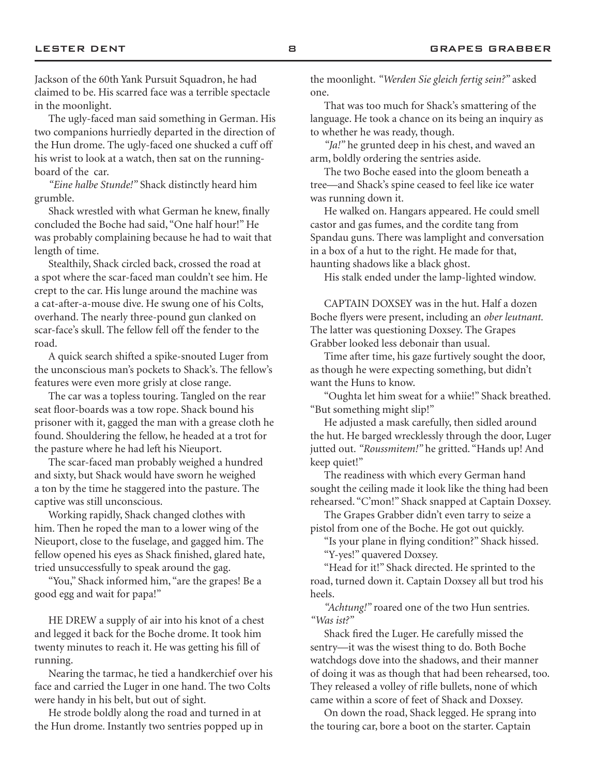Jackson of the 60th Yank Pursuit Squadron, he had claimed to be. His scarred face was a terrible spectacle in the moonlight.

The ugly-faced man said something in German. His two companions hurriedly departed in the direction of the Hun drome. The ugly-faced one shucked a cuff off his wrist to look at a watch, then sat on the runningboard of the car.

*"Eine halbe Stunde!"* Shack distinctly heard him grumble.

Shack wrestled with what German he knew, finally concluded the Boche had said, "One half hour!" He was probably complaining because he had to wait that length of time.

Stealthily, Shack circled back, crossed the road at a spot where the scar-faced man couldn't see him. He crept to the car. His lunge around the machine was a cat-after-a-mouse dive. He swung one of his Colts, overhand. The nearly three-pound gun clanked on scar-face's skull. The fellow fell off the fender to the road.

A quick search shifted a spike-snouted Luger from the unconscious man's pockets to Shack's. The fellow's features were even more grisly at close range.

The car was a topless touring. Tangled on the rear seat floor-boards was a tow rope. Shack bound his prisoner with it, gagged the man with a grease cloth he found. Shouldering the fellow, he headed at a trot for the pasture where he had left his Nieuport.

The scar-faced man probably weighed a hundred and sixty, but Shack would have sworn he weighed a ton by the time he staggered into the pasture. The captive was still unconscious.

Working rapidly, Shack changed clothes with him. Then he roped the man to a lower wing of the Nieuport, close to the fuselage, and gagged him. The fellow opened his eyes as Shack finished, glared hate, tried unsuccessfully to speak around the gag.

"You," Shack informed him, "are the grapes! Be a good egg and wait for papa!"

HE DREW a supply of air into his knot of a chest and legged it back for the Boche drome. It took him twenty minutes to reach it. He was getting his fill of running.

Nearing the tarmac, he tied a handkerchief over his face and carried the Luger in one hand. The two Colts were handy in his belt, but out of sight.

He strode boldly along the road and turned in at the Hun drome. Instantly two sentries popped up in the moonlight. *"Werden Sie gleich fertig sein?"* asked one.

That was too much for Shack's smattering of the language. He took a chance on its being an inquiry as to whether he was ready, though.

*"Ja!"* he grunted deep in his chest, and waved an arm, boldly ordering the sentries aside.

The two Boche eased into the gloom beneath a tree—and Shack's spine ceased to feel like ice water was running down it.

He walked on. Hangars appeared. He could smell castor and gas fumes, and the cordite tang from Spandau guns. There was lamplight and conversation in a box of a hut to the right. He made for that, haunting shadows like a black ghost.

His stalk ended under the lamp-lighted window.

CAPTAIN DOXSEY was in the hut. Half a dozen Boche flyers were present, including an *ober leutnant.* The latter was questioning Doxsey. The Grapes Grabber looked less debonair than usual.

Time after time, his gaze furtively sought the door, as though he were expecting something, but didn't want the Huns to know.

"Oughta let him sweat for a whiie!" Shack breathed. "But something might slip!"

He adjusted a mask carefully, then sidled around the hut. He barged wrecklessly through the door, Luger jutted out. *"Roussmitem!"* he gritted. "Hands up! And keep quiet!"

The readiness with which every German hand sought the ceiling made it look like the thing had been rehearsed. "C'mon!" Shack snapped at Captain Doxsey.

The Grapes Grabber didn't even tarry to seize a pistol from one of the Boche. He got out quickly.

"Is your plane in flying condition?" Shack hissed. "Y-yes!" quavered Doxsey.

"Head for it!" Shack directed. He sprinted to the road, turned down it. Captain Doxsey all but trod his heels.

*"Achtung!"* roared one of the two Hun sentries. *"Was ist?"*

Shack fired the Luger. He carefully missed the sentry—it was the wisest thing to do. Both Boche watchdogs dove into the shadows, and their manner of doing it was as though that had been rehearsed, too. They released a volley of rifle bullets, none of which came within a score of feet of Shack and Doxsey.

On down the road, Shack legged. He sprang into the touring car, bore a boot on the starter. Captain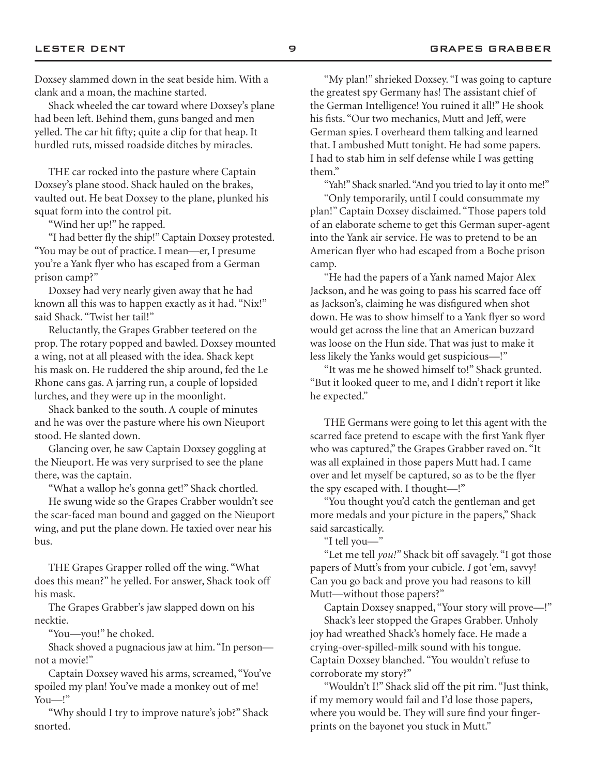Shack wheeled the car toward where Doxsey's plane had been left. Behind them, guns banged and men yelled. The car hit fifty; quite a clip for that heap. It hurdled ruts, missed roadside ditches by miracles.

THE car rocked into the pasture where Captain Doxsey's plane stood. Shack hauled on the brakes, vaulted out. He beat Doxsey to the plane, plunked his squat form into the control pit.

"Wind her up!" he rapped.

"I had better fly the ship!" Captain Doxsey protested. "You may be out of practice. I mean—er, I presume you're a Yank flyer who has escaped from a German prison camp?"

Doxsey had very nearly given away that he had known all this was to happen exactly as it had. "Nix!" said Shack. "Twist her tail!"

Reluctantly, the Grapes Grabber teetered on the prop. The rotary popped and bawled. Doxsey mounted a wing, not at all pleased with the idea. Shack kept his mask on. He ruddered the ship around, fed the Le Rhone cans gas. A jarring run, a couple of lopsided lurches, and they were up in the moonlight.

Shack banked to the south. A couple of minutes and he was over the pasture where his own Nieuport stood. He slanted down.

Glancing over, he saw Captain Doxsey goggling at the Nieuport. He was very surprised to see the plane there, was the captain.

"What a wallop he's gonna get!" Shack chortled.

He swung wide so the Grapes Crabber wouldn't see the scar-faced man bound and gagged on the Nieuport wing, and put the plane down. He taxied over near his bus.

THE Grapes Grapper rolled off the wing. "What does this mean?" he yelled. For answer, Shack took off his mask.

The Grapes Grabber's jaw slapped down on his necktie.

"You—you!" he choked.

Shack shoved a pugnacious jaw at him. "In person not a movie!"

Captain Doxsey waved his arms, screamed, "You've spoiled my plan! You've made a monkey out of me! You—!"

"Why should I try to improve nature's job?" Shack snorted.

"My plan!" shrieked Doxsey. "I was going to capture the greatest spy Germany has! The assistant chief of the German Intelligence! You ruined it all!" He shook his fists. "Our two mechanics, Mutt and Jeff, were German spies. I overheard them talking and learned that. I ambushed Mutt tonight. He had some papers. I had to stab him in self defense while I was getting them."

"Yah!" Shack snarled. "And you tried to lay it onto me!"

"Only temporarily, until I could consummate my plan!" Captain Doxsey disclaimed. "Those papers told of an elaborate scheme to get this German super-agent into the Yank air service. He was to pretend to be an American flyer who had escaped from a Boche prison camp.

"He had the papers of a Yank named Major Alex Jackson, and he was going to pass his scarred face off as Jackson's, claiming he was disfigured when shot down. He was to show himself to a Yank flyer so word would get across the line that an American buzzard was loose on the Hun side. That was just to make it less likely the Yanks would get suspicious—!"

"It was me he showed himself to!" Shack grunted. "But it looked queer to me, and I didn't report it like he expected."

THE Germans were going to let this agent with the scarred face pretend to escape with the first Yank flyer who was captured," the Grapes Grabber raved on. "It was all explained in those papers Mutt had. I came over and let myself be captured, so as to be the flyer the spy escaped with. I thought—!"

"You thought you'd catch the gentleman and get more medals and your picture in the papers," Shack said sarcastically.

"I tell you—"

"Let me tell *you!"* Shack bit off savagely. "I got those papers of Mutt's from your cubicle. *I* got 'em, savvy! Can you go back and prove you had reasons to kill Mutt—without those papers?"

Captain Doxsey snapped, "Your story will prove—!" Shack's leer stopped the Grapes Grabber. Unholy joy had wreathed Shack's homely face. He made a crying-over-spilled-milk sound with his tongue. Captain Doxsey blanched. "You wouldn't refuse to corroborate my story?"

"Wouldn't I!" Shack slid off the pit rim. "Just think, if my memory would fail and I'd lose those papers, where you would be. They will sure find your fingerprints on the bayonet you stuck in Mutt."